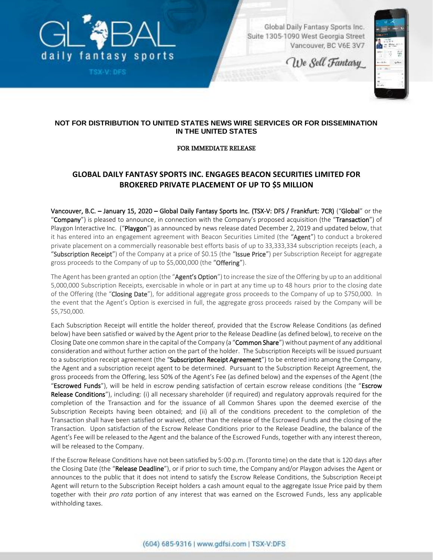

TSX-V: DFS

Global Daily Fantasy Sports Inc. Suite 1305-1090 West Georgia Street Vancouver, BC V6E 3V7

We Sell Fantasy



# **NOT FOR DISTRIBUTION TO UNITED STATES NEWS WIRE SERVICES OR FOR DISSEMINATION IN THE UNITED STATES**

## FOR IMMEDIATE RELEASE

# **GLOBAL DAILY FANTASY SPORTS INC. ENGAGES BEACON SECURITIES LIMITED FOR BROKERED PRIVATE PLACEMENT OF UP TO \$5 MILLION**

Vancouver, B.C. – January 15, 2020 – Global Daily Fantasy Sports Inc. (TSX-V: DFS / Frankfurt: 7CR) ("Global" or the "Company") is pleased to announce, in connection with the Company's proposed acquisition (the "Transaction") of Playgon Interactive Inc. ("Playgon") as announced by news release dated December 2, 2019 and updated below, that it has entered into an engagement agreement with Beacon Securities Limited (the "Agent") to conduct a brokered private placement on a commercially reasonable best efforts basis of up to 33,333,334 subscription receipts (each, a "Subscription Receipt") of the Company at a price of \$0.15 (the "Issue Price") per Subscription Receipt for aggregate gross proceeds to the Company of up to \$5,000,000 (the "Offering").

The Agent has been granted an option (the "Agent's Option") to increase the size of the Offering by up to an additional 5,000,000 Subscription Receipts, exercisable in whole or in part at any time up to 48 hours prior to the closing date of the Offering (the "Closing Date"), for additional aggregate gross proceeds to the Company of up to \$750,000. In the event that the Agent's Option is exercised in full, the aggregate gross proceeds raised by the Company will be \$5,750,000.

Each Subscription Receipt will entitle the holder thereof, provided that the Escrow Release Conditions (as defined below) have been satisfied or waived by the Agent prior to the Release Deadline (as defined below), to receive on the Closing Date one common share in the capital of the Company (a "Common Share") without payment of any additional consideration and without further action on the part of the holder. The Subscription Receipts will be issued pursuant to a subscription receipt agreement (the "Subscription Receipt Agreement") to be entered into among the Company, the Agent and a subscription receipt agent to be determined. Pursuant to the Subscription Receipt Agreement, the gross proceeds from the Offering, less 50% of the Agent's Fee (as defined below) and the expenses of the Agent (the "Escrowed Funds"), will be held in escrow pending satisfaction of certain escrow release conditions (the "Escrow Release Conditions"), including: (i) all necessary shareholder (if required) and regulatory approvals required for the completion of the Transaction and for the issuance of all Common Shares upon the deemed exercise of the Subscription Receipts having been obtained; and (ii) all of the conditions precedent to the completion of the Transaction shall have been satisfied or waived, other than the release of the Escrowed Funds and the closing of the Transaction. Upon satisfaction of the Escrow Release Conditions prior to the Release Deadline, the balance of the Agent's Fee will be released to the Agent and the balance of the Escrowed Funds, together with any interest thereon, will be released to the Company.

If the Escrow Release Conditions have not been satisfied by 5:00 p.m. (Toronto time) on the date that is 120 days after the Closing Date (the "Release Deadline"), or if prior to such time, the Company and/or Playgon advises the Agent or announces to the public that it does not intend to satisfy the Escrow Release Conditions, the Subscription Receipt Agent will return to the Subscription Receipt holders a cash amount equal to the aggregate Issue Price paid by them together with their *pro rata* portion of any interest that was earned on the Escrowed Funds, less any applicable withholding taxes.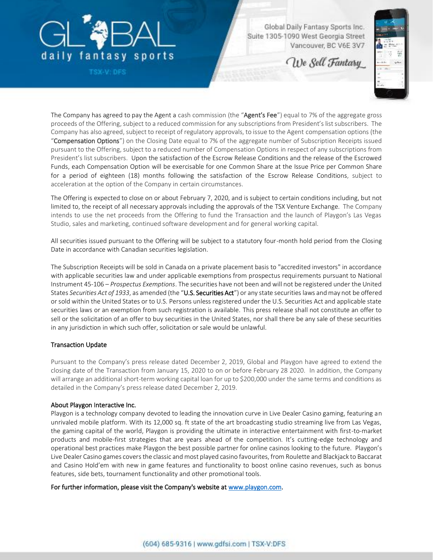

TSX-V: DFS

Global Daily Fantasy Sports Inc. Suite 1305-1090 West Georgia Street Vancouver, BC V6E 3V7

We Sell Fantasy



The Company has agreed to pay the Agent a cash commission (the "Agent's Fee") equal to 7% of the aggregate gross proceeds of the Offering, subject to a reduced commission for any subscriptions from President's list subscribers. The Company has also agreed, subject to receipt of regulatory approvals, to issue to the Agent compensation options (the "Compensation Options") on the Closing Date equal to 7% of the aggregate number of Subscription Receipts issued pursuant to the Offering, subject to a reduced number of Compensation Options in respect of any subscriptions from President's list subscribers. Upon the satisfaction of the Escrow Release Conditions and the release of the Escrowed Funds, each Compensation Option will be exercisable for one Common Share at the Issue Price per Common Share for a period of eighteen (18) months following the satisfaction of the Escrow Release Conditions, subject to acceleration at the option of the Company in certain circumstances.

The Offering is expected to close on or about February 7, 2020, and is subject to certain conditions including, but not limited to, the receipt of all necessary approvals including the approvals of the TSX Venture Exchange. The Company intends to use the net proceeds from the Offering to fund the Transaction and the launch of Playgon's Las Vegas Studio, sales and marketing, continued software development and for general working capital.

All securities issued pursuant to the Offering will be subject to a statutory four-month hold period from the Closing Date in accordance with Canadian securities legislation.

The Subscription Receipts will be sold in Canada on a private placement basis to "accredited investors" in accordance with applicable securities law and under applicable exemptions from prospectus requirements pursuant to National Instrument 45-106 – *Prospectus Exemptions*. The securities have not been and will not be registered under the United States *Securities Act of 1933*, as amended (the "U.S. Securities Act") or any state securities laws and may not be offered or sold within the United States or to U.S. Persons unless registered under the U.S. Securities Act and applicable state securities laws or an exemption from such registration is available. This press release shall not constitute an offer to sell or the solicitation of an offer to buy securities in the United States, nor shall there be any sale of these securities in any jurisdiction in which such offer, solicitation or sale would be unlawful.

## Transaction Update

Pursuant to the Company's press release dated December 2, 2019, Global and Playgon have agreed to extend the closing date of the Transactio[n from January 15, 2020](x-apple-data-detectors://1/) to on or before February 28 2020. In addition, the Company will arrange an additional short-term working capital loan for up to \$200,000 under the same terms and conditions as detailed in the Company's press release dated December 2, 2019.

## About Playgon Interactive Inc.

Playgon is a technology company devoted to leading the innovation curve in Live Dealer Casino gaming, featuring an unrivaled mobile platform. With its 12,000 sq. ft state of the art broadcasting studio streaming live from Las Vegas, the gaming capital of the world, Playgon is providing the ultimate in interactive entertainment with first-to-market products and mobile-first strategies that are years ahead of the competition. It's cutting-edge technology and operational best practices make Playgon the best possible partner for online casinos looking to the future. Playgon's Live Dealer Casino games covers the classic and most played casino favourites, from Roulette and Blackjack to Baccarat and Casino Hold'em with new in game features and functionality to boost online casino revenues, such as bonus features, side bets, tournament functionality and other promotional tools.

For further information, please visit the Company's website at [www.playgon.com.](http://www.playgon.com/)